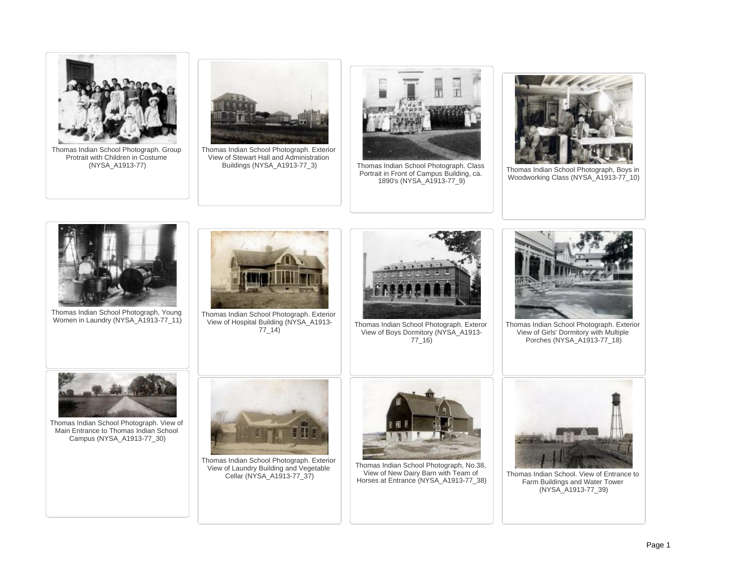



Thomas Indian School Photograph, Young Women in Laundry (NYSA\_A1913-77\_11)



Thomas Indian School Photograph. Exterior View of Hospital Building (NYSA\_A1913-  $77 - 14$ )



Thomas Indian School Photograph. Exteror View of Boys Dormitory (NYSA\_A1913- 77\_16)



Thomas Indian School Photograph. Exterior View of Girls' Dormitory with Multiple Porches (NYSA\_A1913-77\_18)



Thomas Indian School Photograph. View of Main Entrance to Thomas Indian School Campus (NYSA\_A1913-77\_30)



Thomas Indian School Photograph. Exterior View of Laundry Building and Vegetable Cellar (NYSA\_A1913-77\_37)



Thomas Indian School Photograph, No.38, View of New Dairy Barn with Team of Horses at Entrance (NYSA\_A1913-77\_38)



Thomas Indian School. View of Entrance to Farm Buildings and Water Tower (NYSA\_A1913-77\_39)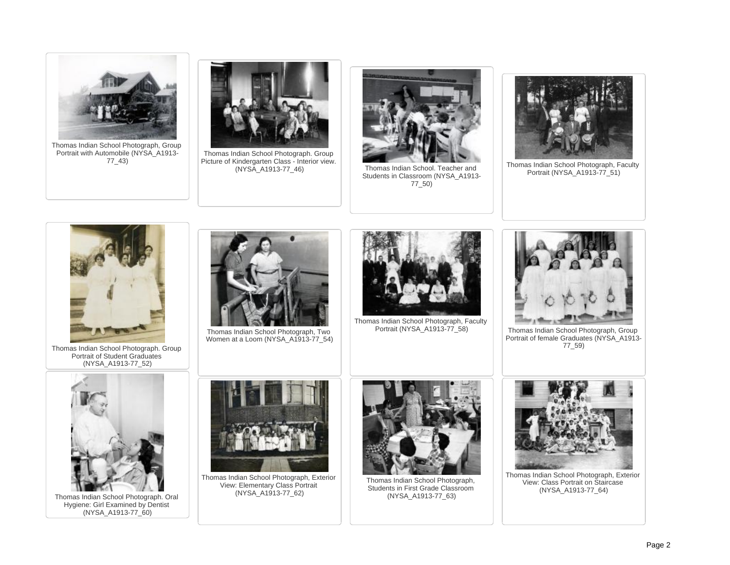

Thomas Indian School Photograph, Group Portrait with Automobile (NYSA\_A1913- 77\_43)



Thomas Indian School Photograph. Group Picture of Kindergarten Class - Interior view.<br>(NYSA A1913-77 46)



Thomas Indian School. Teacher and Students in Classroom (NYSA\_A1913- 77\_50)



Thomas Indian School Photograph, Faculty Portrait (NYSA\_A1913-77\_51)



Thomas Indian School Photograph. Group Portrait of Student Graduates (NYSA\_A1913-77\_52)



Thomas Indian School Photograph, Two Women at a Loom (NYSA\_A1913-77\_54)



Thomas Indian School Photograph, Faculty



Thomas Indian School Photograph, Group Portrait of female Graduates (NYSA\_A1913- 77\_59)



Thomas Indian School Photograph. Oral Hygiene: Girl Examined by Dentist (NYSA\_A1913-77\_60)



Thomas Indian School Photograph, Exterior View: Elementary Class Portrait (NYSA\_A1913-77\_62)



Thomas Indian School Photograph, Students in First Grade Classroom (NYSA\_A1913-77\_63)



Thomas Indian School Photograph, Exterior View: Class Portrait on Staircase (NYSA\_A1913-77\_64)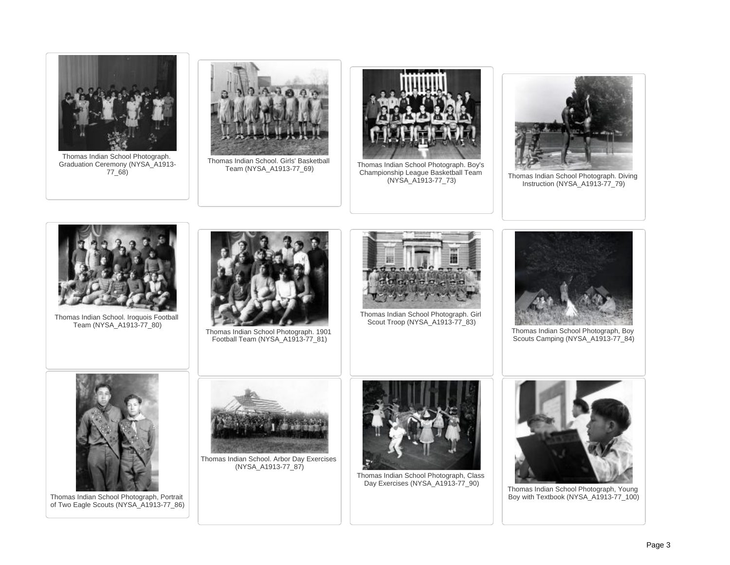

Thomas Indian School. Iroquois Football

Thomas Indian School Photograph. 1901 Football Team (NYSA\_A1913-77\_81)



Thomas Indian School Photograph. Girl Scout Troop (NYSA\_A1913-77\_83)



Thomas Indian School Photograph, Boy Scouts Camping (NYSA\_A1913-77\_84)



Team (NYSA\_A1913-77\_80)

Thomas Indian School Photograph, Portrait of Two Eagle Scouts (NYSA\_A1913-77\_86)



Thomas Indian School. Arbor Day Exercises (NYSA\_A1913-77\_87)



Thomas Indian School Photograph, Class Day Exercises (NYSA\_A1913-77\_90)



Thomas Indian School Photograph, Young Boy with Textbook (NYSA\_A1913-77\_100)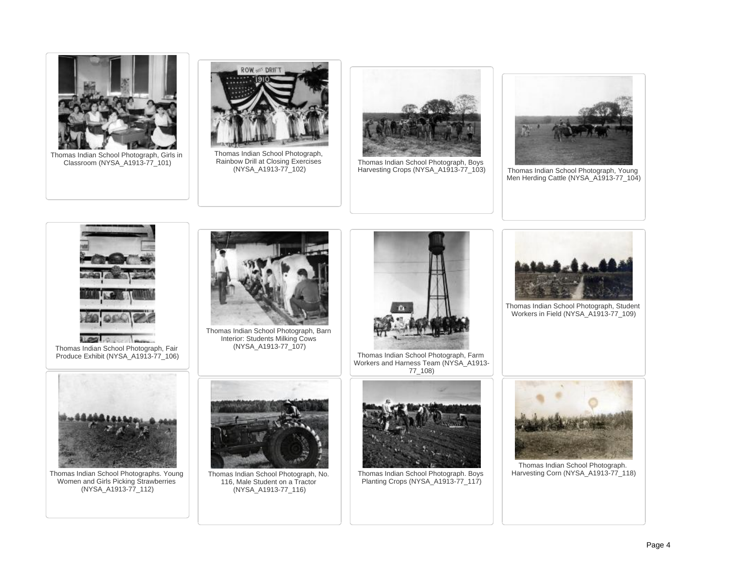

Thomas Indian School Photograph, Girls in Classroom (NYSA\_A1913-77\_101)



Thomas Indian School Photograph, Rainbow Drill at Closing Exercises (NYSA\_A1913-77\_102)



Thomas Indian School Photograph, Boys<br>Harvesting Crops (NYSA\_A1913-77\_103)



Thomas Indian School Photograph, Young Men Herding Cattle (NYSA\_A1913-77\_104)



 $100$ Thomas Indian School Photograph, Fair Produce Exhibit (NYSA\_A1913-77\_106)



Thomas Indian School Photograph, Barn Interior: Students Milking Cows (NYSA\_A1913-77\_107)



Thomas Indian School Photograph, Farm Workers and Harness Team (NYSA\_A1913- 77\_108)



Thomas Indian School Photograph, Student Workers in Field (NYSA\_A1913-77\_109)



Thomas Indian School Photographs. Young Women and Girls Picking Strawberries (NYSA\_A1913-77\_112)



Thomas Indian School Photograph, No. 116, Male Student on a Tractor (NYSA\_A1913-77\_116)



Thomas Indian School Photograph. Boys Planting Crops (NYSA\_A1913-77\_117)



Thomas Indian School Photograph. Harvesting Corn (NYSA\_A1913-77\_118)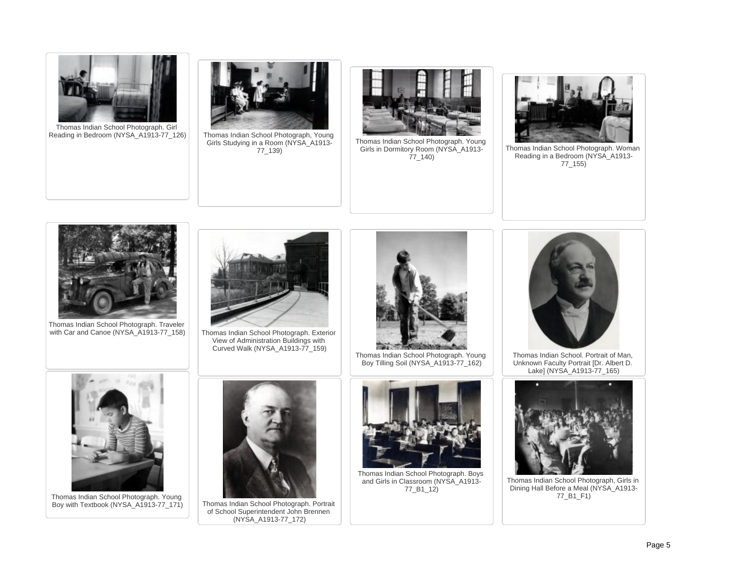

Thomas Indian School Photograph. Girl Reading in Bedroom (NYSA\_A1913-77\_126) Thomas Indian School Photograph, Young



Girls Studying in a Room (NYSA\_A1913- 77\_139)



Thomas Indian School Photograph. Young Girls in Dormitory Room (NYSA\_A1913- 77\_140)



Thomas Indian School Photograph. Woman Reading in a Bedroom (NYSA\_A1913-77\_155)



Thomas Indian School Photograph. Traveler<br>with Car and Canoe (NYSA\_A1913-77\_158)



Thomas Indian School Photograph. Exterior View of Administration Buildings with Curved Walk (NYSA\_A1913-77\_159)



Thomas Indian School Photograph. Young Boy Tilling Soil (NYSA\_A1913-77\_162)



Thomas Indian School. Portrait of Man, Unknown Faculty Portrait [Dr. Albert D. Lake] (NYSA\_A1913-77\_165)



Thomas Indian School Photograph. Young Boy with Textbook (NYSA\_A1913-77\_171) Thomas Indian School Photograph. Portrait



of School Superintendent John Brennen (NYSA\_A1913-77\_172)



Thomas Indian School Photograph. Boys and Girls in Classroom (NYSA\_A1913- 77\_B1\_12)



Thomas Indian School Photograph, Girls in Dining Hall Before a Meal (NYSA\_A1913- 77\_B1\_F1)